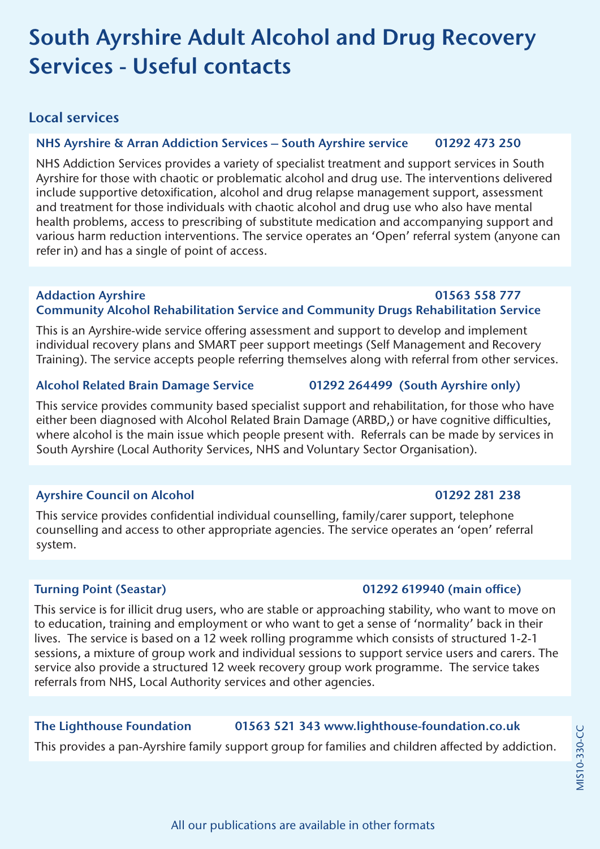# **South Ayrshire Adult Alcohol and Drug Recovery Services - Useful contacts**

# **Local services**

## **NHS Ayrshire & Arran Addiction Services – South Ayrshire service 01292 473 250**

NHS Addiction Services provides a variety of specialist treatment and support services in South Ayrshire for those with chaotic or problematic alcohol and drug use. The interventions delivered include supportive detoxification, alcohol and drug relapse management support, assessment and treatment for those individuals with chaotic alcohol and drug use who also have mental health problems, access to prescribing of substitute medication and accompanying support and various harm reduction interventions. The service operates an 'Open' referral system (anyone can refer in) and has a single of point of access.

### **Addaction Ayrshire 01563 558 777 Community Alcohol Rehabilitation Service and Community Drugs Rehabilitation Service**

This is an Ayrshire-wide service offering assessment and support to develop and implement individual recovery plans and SMART peer support meetings (Self Management and Recovery Training). The service accepts people referring themselves along with referral from other services.

### **Alcohol Related Brain Damage Service 01292 264499 (South Ayrshire only)**

This service provides community based specialist support and rehabilitation, for those who have either been diagnosed with Alcohol Related Brain Damage (ARBD,) or have cognitive difficulties, where alcohol is the main issue which people present with. Referrals can be made by services in South Ayrshire (Local Authority Services, NHS and Voluntary Sector Organisation).

## Ayrshire Council on Alcohol **01292 281 238**

This service provides confidential individual counselling, family/carer support, telephone counselling and access to other appropriate agencies. The service operates an 'open' referral system.

This service is for illicit drug users, who are stable or approaching stability, who want to move on to education, training and employment or who want to get a sense of 'normality' back in their lives. The service is based on a 12 week rolling programme which consists of structured 1-2-1 sessions, a mixture of group work and individual sessions to support service users and carers. The service also provide a structured 12 week recovery group work programme. The service takes referrals from NHS, Local Authority services and other agencies.

## **The Lighthouse Foundation 01563 521 343 www.lighthouse-foundation.co.uk**

This provides a pan-Ayrshire family support group for families and children affected by addiction.

## **Turning Point (Seastar) 01292 619940 (main office)**

# **MIS10-330-CC** MIS10-330-CC

# All our publications are available in other formats